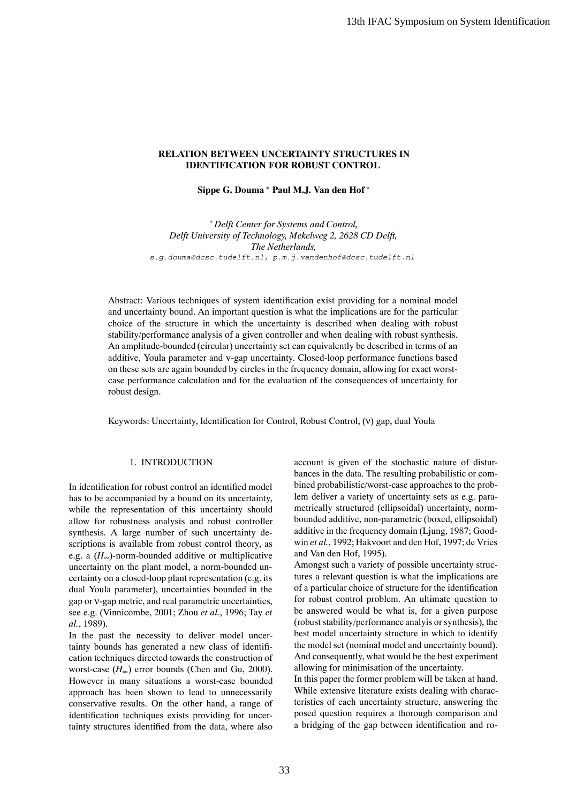# **RELATION BETWEEN UNCERTAINTY STRUCTURES IN IDENTIFICATION FOR ROBUST CONTROL**

**Sippe G. Douma** <sup>∗</sup> **Paul M.J. Van den Hof** <sup>∗</sup>

<sup>∗</sup> *Delft Center for Systems and Control, Delft University of Technology, Mekelweg 2, 2628 CD Delft, The Netherlands,* s.g.douma@dcsc.tudelft.nl; p.m.j.vandenhof@dcsc.tudelft.nl

Abstract: Various techniques of system identification exist providing for a nominal model and uncertainty bound. An important question is what the implications are for the particular choice of the structure in which the uncertainty is described when dealing with robust stability/performance analysis of a given controller and when dealing with robust synthesis. An amplitude-bounded (circular) uncertainty set can equivalently be described in terms of an additive, Youla parameter and ν-gap uncertainty. Closed-loop performance functions based on these sets are again bounded by circles in the frequency domain, allowing for exact worstcase performance calculation and for the evaluation of the consequences of uncertainty for robust design.

Keywords: Uncertainty, Identification for Control, Robust Control, (v) gap, dual Youla

# 1. INTRODUCTION

In identification for robust control an identified model has to be accompanied by a bound on its uncertainty, while the representation of this uncertainty should allow for robustness analysis and robust controller synthesis. A large number of such uncertainty descriptions is available from robust control theory, as e.g. a (*H*∞)-norm-bounded additive or multiplicative uncertainty on the plant model, a norm-bounded uncertainty on a closed-loop plant representation (e.g. its dual Youla parameter), uncertainties bounded in the gap or ν-gap metric, and real parametric uncertainties, see e.g. (Vinnicombe, 2001; Zhou *et al.*, 1996; Tay *et al.*, 1989).

In the past the necessity to deliver model uncertainty bounds has generated a new class of identification techniques directed towards the construction of worst-case  $(H_{\infty})$  error bounds (Chen and Gu, 2000). However in many situations a worst-case bounded approach has been shown to lead to unnecessarily conservative results. On the other hand, a range of identification techniques exists providing for uncertainty structures identified from the data, where also account is given of the stochastic nature of disturbances in the data. The resulting probabilistic or combined probabilistic/worst-case approaches to the problem deliver a variety of uncertainty sets as e.g. parametrically structured (ellipsoidal) uncertainty, normbounded additive, non-parametric (boxed, ellipsoidal) additive in the frequency domain (Ljung, 1987; Goodwin *et al.*, 1992; Hakvoort and den Hof, 1997; de Vries and Van den Hof, 1995).

Amongst such a variety of possible uncertainty structures a relevant question is what the implications are of a particular choice of structure for the identification for robust control problem. An ultimate question to be answered would be what is, for a given purpose (robust stability/performance analyis or synthesis), the best model uncertainty structure in which to identify the model set (nominal model and uncertainty bound). And consequently, what would be the best experiment allowing for minimisation of the uncertainty. 13th IFAC Symposium on System Identification<br>
33 14th IFAC Symposium on System Identification<br>
38 ROBUST CONTROL<br>
39 Norther of Carrier Contents of Carrier Contents of Carrier Contents of Carrier Contents of Carrier Conte

In this paper the former problem will be taken at hand. While extensive literature exists dealing with characteristics of each uncertainty structure, answering the posed question requires a thorough comparison and a bridging of the gap between identification and ro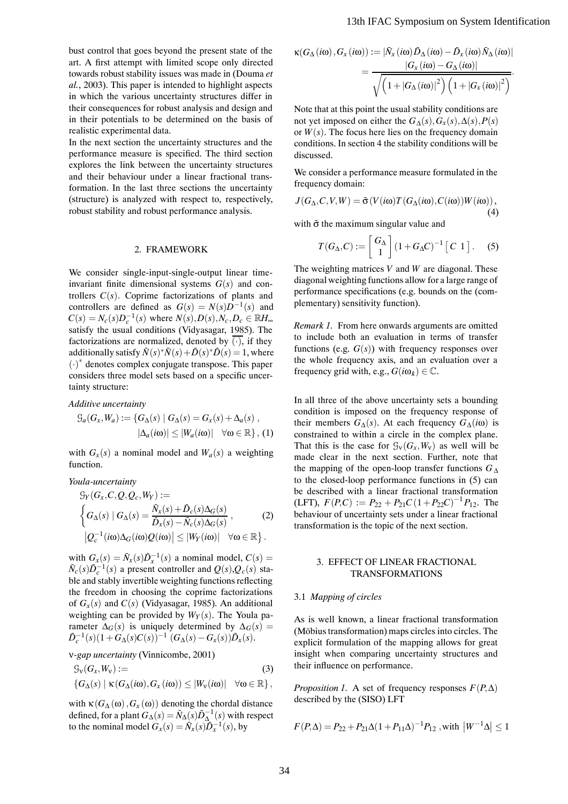bust control that goes beyond the present state of the art. A first attempt with limited scope only directed towards robust stability issues was made in (Douma *et al.*, 2003). This paper is intended to highlight aspects in which the various uncertainty structures differ in their consequences for robust analysis and design and in their potentials to be determined on the basis of realistic experimental data.

In the next section the uncertainty structures and the performance measure is specified. The third section explores the link between the uncertainty structures and their behaviour under a linear fractional transformation. In the last three sections the uncertainty (structure) is analyzed with respect to, respectively, robust stability and robust performance analysis.

## 2. FRAMEWORK

We consider single-input-single-output linear timeinvariant finite dimensional systems  $G(s)$  and controllers  $C(s)$ . Coprime factorizations of plants and controllers are defined as  $G(s) = N(s)D^{-1}(s)$  and  $C(s) = N_c(s)D_c^{-1}(s)$  where  $N(s)$ *,D*(*s*)*,N<sub>c</sub>*,*D<sub>c</sub>* ∈ R*H*<sub>∞</sub> satisfy the usual conditions (Vidyasagar, 1985). The factorizations are normalized, denoted by  $\overline{(\cdot)}$ , if they additionally satisfy  $\bar{N}(s) * \bar{N}(s) + \bar{D}(s) * \bar{D}(s) = 1$ , where (·) <sup>∗</sup> denotes complex conjugate transpose. This paper considers three model sets based on a specific uncertainty structure:

*Additive uncertainty*

$$
G_a(G_x, W_a) := \{ G_{\Delta}(s) \mid G_{\Delta}(s) = G_x(s) + \Delta_a(s) ,
$$

$$
|\Delta_a(i\omega)| \le |W_a(i\omega)| \quad \forall \omega \in \mathbb{R} \}, (1)
$$

with  $G_x(s)$  a nominal model and  $W_a(s)$  a weighting function.

*Youla-uncertainty*

$$
\mathcal{G}_Y(G_x, C, Q, Q_c, W_Y) :=
$$
\n
$$
\left\{ G_{\Delta}(s) \mid G_{\Delta}(s) = \frac{\bar{N}_x(s) + \bar{D}_c(s) \Delta_G(s)}{\bar{D}_x(s) - \bar{N}_c(s) \Delta_G(s)}, \right\}
$$
\n
$$
|Q_c^{-1}(i\omega) \Delta_G(i\omega)Q(i\omega)| \le |W_Y(i\omega)| \quad \forall \omega \in \mathbb{R} \right\}.
$$
\n(2)

with  $G_x(s) = \overline{N}_x(s)\overline{D}_x^{-1}(s)$  a nominal model,  $C(s)$  $\bar{N}_c(s)\bar{D}_c^{-1}(s)$  a present controller and  $Q(s), Q_c(s)$  stable and stably invertible weighting functions reflecting the freedom in choosing the coprime factorizations of  $G_x(s)$  and  $C(s)$  (Vidyasagar, 1985). An additional weighting can be provided by  $W_Y(s)$ . The Youla parameter  $\Delta_G(s)$  is uniquely determined by  $\Delta_G(s)$  =  $\bar{D}_c^{-1}(s)(1+\bar{G}_{\Delta}(s)C(s))^{-1}(G_{\Delta}(s)-G_x(s))\bar{D}_x(s).$ 

ν*-gap uncertainty* (Vinnicombe, 2001)

$$
\mathcal{G}_{\mathsf{V}}(G_{\mathsf{x}}, W_{\mathsf{V}}) := \qquad (3)
$$
  

$$
\{G_{\Delta}(s) \mid \kappa(G_{\Delta}(i\omega), G_{\mathsf{x}}(i\omega)) \leq |W_{\mathsf{V}}(i\omega)| \quad \forall \omega \in \mathbb{R}\},
$$

with  $\kappa(G_{\Delta}(\omega), G_{\chi}(\omega))$  denoting the chordal distance defined, for a plant  $G_{\Delta}(s) = \bar{N}_{\Delta}(s)\bar{D}_{\Delta}^{-1}(s)$  with respect to the nominal model  $G_x(s) = \overline{N}_x(s)\overline{D}_x^{-1}(s)$ , by

$$
\kappa(G_{\Delta}(i\omega), G_x(i\omega)) := |\bar{N}_x(i\omega)\bar{D}_{\Delta}(i\omega) - \bar{D}_x(i\omega)\bar{N}_{\Delta}(i\omega)|
$$
  
= 
$$
\frac{|G_x(i\omega) - G_{\Delta}(i\omega)|}{\sqrt{\left(1 + |G_{\Delta}(i\omega)|^2\right)\left(1 + |G_x(i\omega)|^2\right)}}.
$$

Note that at this point the usual stability conditions are not yet imposed on either the  $G_{\Lambda}(s)$ ,  $G_{\chi}(s)$ ,  $\Delta(s)$ ,  $P(s)$ or  $W(s)$ . The focus here lies on the frequency domain conditions. In section 4 the stability conditions will be discussed.

We consider a performance measure formulated in the frequency domain:

$$
J(G_{\Delta}, C, V, W) = \bar{\sigma}(V(i\omega)T(G_{\Delta}(i\omega), C(i\omega))W(i\omega)),
$$
\n(4)

with  $\bar{\sigma}$  the maximum singular value and

$$
T(G_{\Delta}, C) := \begin{bmatrix} G_{\Delta} \\ 1 \end{bmatrix} (1 + G_{\Delta} C)^{-1} [C \ 1]. \quad (5)
$$

The weighting matrices *V* and *W* are diagonal. These diagonal weighting functions allow for a large range of performance specifications (e.g. bounds on the (complementary) sensitivity function).

*Remark 1.* From here onwards arguments are omitted to include both an evaluation in terms of transfer functions (e.g.  $G(s)$ ) with frequency responses over the whole frequency axis, and an evaluation over a frequency grid with, e.g.,  $G(i\omega_k) \in \mathbb{C}$ .

In all three of the above uncertainty sets a bounding condition is imposed on the frequency response of their members  $G_{\Delta}(s)$ . At each frequency  $G_{\Delta}(i\omega)$  is constrained to within a circle in the complex plane. That this is the case for  $\mathcal{G}_{\nu}(G_x, W_{\nu})$  as well will be made clear in the next section. Further, note that the mapping of the open-loop transfer functions *G*<sup>∆</sup> to the closed-loop performance functions in (5) can be described with a linear fractional transformation  $(LFT)$ ,  $F(P,C) := P_{22} + P_{21}C(1+P_{22}C)^{-1}P_{12}$ . The behaviour of uncertainty sets under a linear fractional transformation is the topic of the next section. 13th IFAC Symposium on System Identification<br>  $\kappa(G_{\Delta}(io), G_{\Delta}(io)) := N_{\alpha}(io) D_{\Delta}(io) - D_{\alpha}(io)) N_{\Delta}(io)$ <br>  $-\frac{1}{\sqrt{(1 + |G_{\Delta}(io)| - |G_{\Delta}(io)| - |G_{\Delta}(io)| - |G_{\Delta}(io)| - |G_{\Delta}(io)| - |G_{\Delta}(io)| - |G_{\Delta}(io)| - |G_{\Delta}(io)| - |G_{\Delta}(io)| - |G_{\Delta}(io)| - |G_{\Delta}(io)| - |G_{\Delta}(io)| - |G_{\Delta$ 

## 3. EFFECT OF LINEAR FRACTIONAL TRANSFORMATIONS

### 3.1 *Mapping of circles*

As is well known, a linear fractional transformation (Möbius transformation) maps circles into circles. The explicit formulation of the mapping allows for great insight when comparing uncertainty structures and their influence on performance.

*Proposition 1.* A set of frequency responses  $F(P, \Delta)$ described by the (SISO) LFT

$$
F(P,\Delta) = P_{22} + P_{21}\Delta(1+P_{11}\Delta)^{-1}P_{12}
$$
, with  $|W^{-1}\Delta| \le 1$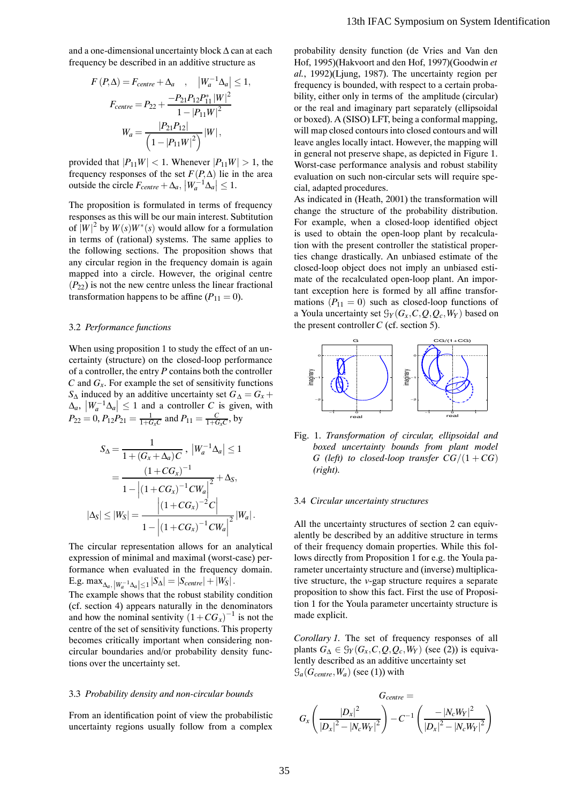and a one-dimensional uncertainty block ∆ can at each frequency be described in an additive structure as

$$
F(P, \Delta) = F_{centre} + \Delta_a , \quad |W_a^{-1} \Delta_a| \le 1,
$$
  

$$
F_{centre} = P_{22} + \frac{-P_{21}P_{12}P_{11}^*|W|^2}{1 - |P_{11}W|^2}
$$
  

$$
W_a = \frac{|P_{21}P_{12}|}{\left(1 - |P_{11}W|^2\right)}|W|,
$$

provided that  $|P_{11}W| < 1$ . Whenever  $|P_{11}W| > 1$ , the frequency responses of the set  $F(P, \Delta)$  lie in the area outside the circle  $F_{centre} + \Delta_a$ ,  $|W_a^{-1} \Delta_a| \leq 1$ .

The proposition is formulated in terms of frequency responses as this will be our main interest. Subtitution of  $|W|^2$  by  $W(s)W^*(s)$  would allow for a formulation in terms of (rational) systems. The same applies to the following sections. The proposition shows that any circular region in the frequency domain is again mapped into a circle. However, the original centre  $(P_{22})$  is not the new centre unless the linear fractional transformation happens to be affine  $(P_{11} = 0)$ .

## 3.2 *Performance functions*

When using proposition 1 to study the effect of an uncertainty (structure) on the closed-loop performance of a controller, the entry *P* contains both the controller  $C$  and  $G<sub>x</sub>$ . For example the set of sensitivity functions *S*∆ induced by an additive uncertainty set  $G<sub>∆</sub> = G<sub>x</sub> +$  $\left|\frac{W_a^{-1} \Delta_a}{\Delta_a}\right| \leq 1$  and a controller *C* is given, with  $P_{22} = 0$ ,  $P_{12}P_{21} = \frac{1}{1+G_xC}$  and  $P_{11} = \frac{C}{1+G_xC}$ , by

$$
S_{\Delta} = \frac{1}{1 + (G_x + \Delta_a)C}, \ |W_a^{-1}\Delta_a| \le 1
$$
  
= 
$$
\frac{(1 + CG_x)^{-1}}{1 - |(1 + CG_x)^{-1}CW_a|^2} + \Delta_s,
$$
  

$$
|\Delta_s| \le |W_s| = \frac{|(1 + CG_x)^{-2}C|}{1 - |(1 + CG_x)^{-1}CW_a|^2} |W_a|.
$$

The circular representation allows for an analytical expression of minimal and maximal (worst-case) performance when evaluated in the frequency domain. E.g.  $\max_{\Delta_a, |W_a^{-1} \Delta_a| \le 1} |S_{\Delta}| = |S_{centre}| + |W_S|$ .

The example shows that the robust stability condition (cf. section 4) appears naturally in the denominators and how the nominal sentivity  $(1+CG_x)^{-1}$  is not the centre of the set of sensitivity functions. This property becomes critically important when considering noncircular boundaries and/or probability density functions over the uncertainty set.

### 3.3 *Probability density and non-circular bounds*

From an identification point of view the probabilistic uncertainty regions usually follow from a complex

probability density function (de Vries and Van den Hof, 1995)(Hakvoort and den Hof, 1997)(Goodwin *et al.*, 1992)(Ljung, 1987). The uncertainty region per frequency is bounded, with respect to a certain probability, either only in terms of the amplitude (circular) or the real and imaginary part separately (ellipsoidal or boxed). A (SISO) LFT, being a conformal mapping, will map closed contours into closed contours and will leave angles locally intact. However, the mapping will in general not preserve shape, as depicted in Figure 1. Worst-case performance analysis and robust stability evaluation on such non-circular sets will require special, adapted procedures. 13th IFAC Symposium on System Identification<br>
probability dessity function (de Vries and Varian data that and the Vries and Varian data<br>
16.1.995)(Halevoort and den Hof, 1997)(Geochrin et<br>
figures). The uncertainty region

As indicated in (Heath, 2001) the transformation will change the structure of the probability distribution. For example, when a closed-loop identified object is used to obtain the open-loop plant by recalculation with the present controller the statistical properties change drastically. An unbiased estimate of the closed-loop object does not imply an unbiased estimate of the recalculated open-loop plant. An important exception here is formed by all affine transformations  $(P_{11} = 0)$  such as closed-loop functions of a Youla uncertainty set  $\mathcal{G}_Y(G_X, C, Q, Q_c, W_Y)$  based on the present controller *C* (cf. section 5)*.*



Fig. 1. *Transformation of circular, ellipsoidal and boxed uncertainty bounds from plant model G* (left) to closed-loop transfer  $CG/(1+CG)$ *(right).*

### 3.4 *Circular uncertainty structures*

All the uncertainty structures of section 2 can equivalently be described by an additive structure in terms of their frequency domain properties. While this follows directly from Proposition 1 for e.g. the Youla parameter uncertainty structure and (inverse) multiplicative structure, the *v*-gap structure requires a separate proposition to show this fact. First the use of Proposition 1 for the Youla parameter uncertainty structure is made explicit.

*Corollary 1.* The set of frequency responses of all plants  $G_{\Delta} \in \mathcal{G}_Y(G_x, C, Q, Q_c, W_Y)$  (see (2)) is equivalently described as an additive uncertainty set  $\mathcal{G}_a(G_{centre}, W_a)$  (see (1)) with

$$
G_{centre} = \n G_x \left( \frac{|D_x|^2}{|D_x|^2 - |N_c W_Y|^2} \right) - C^{-1} \left( \frac{-|N_c W_Y|^2}{|D_x|^2 - |N_c W_Y|^2} \right)
$$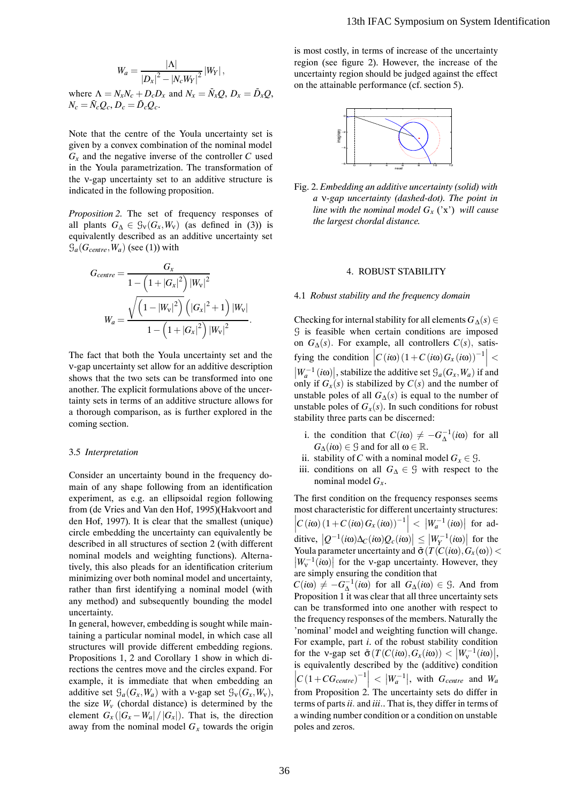$$
W_a = \frac{|\Lambda|}{|D_x|^2 - |N_c W_Y|^2} |W_Y|,
$$
  
where  $\Lambda = N_x N_c + D_c D_x$  and  $N_x = \bar{N}_x Q$ ,  $D_x = \bar{D}_x Q$ ,  
 $N_c = \bar{N}_c Q_c$ ,  $D_c = \bar{D}_c Q_c$ .

Note that the centre of the Youla uncertainty set is given by a convex combination of the nominal model  $G_x$  and the negative inverse of the controller  $C$  used in the Youla parametrization. The transformation of the ν-gap uncertainty set to an additive structure is indicated in the following proposition.

*Proposition 2.* The set of frequency responses of all plants  $G_{\Lambda} \in \mathcal{G}_{\nu}(G_{\kappa}, W_{\nu})$  (as defined in (3)) is equivalently described as an additive uncertainty set  $G_a(G_{centre}, W_a)$  (see (1)) with

$$
G_{centre} = \frac{G_x}{1 - \left(1 + |G_x|^2\right)|W_v|^2}
$$

$$
W_a = \frac{\sqrt{\left(1 - |W_v|^2\right)\left(|G_x|^2 + 1\right)|W_v|}}{1 - \left(1 + |G_x|^2\right)|W_v|^2}.
$$

The fact that both the Youla uncertainty set and the ν-gap uncertainty set allow for an additive description shows that the two sets can be transformed into one another. The explicit formulations above of the uncertainty sets in terms of an additive structure allows for a thorough comparison, as is further explored in the coming section.

### 3.5 *Interpretation*

Consider an uncertainty bound in the frequency domain of any shape following from an identification experiment, as e.g. an ellipsoidal region following from (de Vries and Van den Hof, 1995)(Hakvoort and den Hof, 1997). It is clear that the smallest (unique) circle embedding the uncertainty can equivalently be described in all structures of section 2 (with different nominal models and weighting functions). Alternatively, this also pleads for an identification criterium minimizing over both nominal model and uncertainty, rather than first identifying a nominal model (with any method) and subsequently bounding the model uncertainty.

In general, however, embedding is sought while maintaining a particular nominal model, in which case all structures will provide different embedding regions. Propositions 1, 2 and Corollary 1 show in which directions the centres move and the circles expand. For example, it is immediate that when embedding an additive set  $\mathcal{G}_a(G_x, W_a)$  with a v-gap set  $\mathcal{G}_v(G_x, W_v)$ , the size  $W_v$  (chordal distance) is determined by the element  $G_x(|G_x - W_a|/|G_x|)$ . That is, the direction away from the nominal model  $G_x$  towards the origin is most costly, in terms of increase of the uncertainty region (see figure 2). However, the increase of the uncertainty region should be judged against the effect on the attainable performance (cf. section 5).



Fig. 2. *Embedding an additive uncertainty (solid) with a* ν*-gap uncertainty (dashed-dot). The point in line with the nominal model*  $G<sub>x</sub>$  ('x') *will cause the largest chordal distance.*

## 4. ROBUST STABILITY

### 4.1 *Robust stability and the frequency domain*

Checking for internal stability for all elements  $G_\Delta(s)$  ∈ G is feasible when certain conditions are imposed on  $G_{\Delta}(s)$ . For example, all controllers  $C(s)$ , satis- $\left| C(i\omega) (1 + C(i\omega) G_x(i\omega))^{-1} \right|$  <  $\left|W_a^{-1}(i\omega)\right|$ , stabilize the additive set  $\mathcal{G}_a(G_x, W_a)$  if and only if  $G_x(s)$  is stabilized by  $C(s)$  and the number of unstable poles of all  $G_{\Delta}(s)$  is equal to the number of unstable poles of  $G_x(s)$ . In such conditions for robust stability three parts can be discerned:

- i. the condition that  $C(i\omega) \neq -G_{\Delta}^{-1}(i\omega)$  for all  $G_{\Lambda}(i\omega) \in \mathcal{G}$  and for all  $\omega \in \mathbb{R}$ .
- ii. stability of *C* with a nominal model  $G_x \in \mathcal{G}$ .
- iii. conditions on all *G*<sup>∆</sup> ∈ G with respect to the nominal model  $G_x$ .

The first condition on the frequency responses seems most characteristic for different uncertainty structures:  $\left| C\left( i\omega \right) \left( 1+C\left( i\omega \right) G_{x}\left( i\omega \right) \right) ^{-1}\right| \,<\,\,\left| W_{a}^{-1}\left( i\omega \right) \right| \,\,\,\mathrm{for}\,\,\,\mathrm{ad}$ ditive,  $|Q^{-1}(i\omega)\Delta_C(i\omega)Q_c(i\omega)| \le |W_Y^{-1}(i\omega)|$  for the Figure  $\lim_{t \to \infty} \frac{|\mathcal{Q}_C(\mathcal{W}) \mathcal{Q}_C(\mathcal{W})|}{|\mathcal{Q}_C(\mathcal{W})|} \ge \lim_{t \to \infty} \frac{|\mathcal{W}_C(\mathcal{W})|}{|\mathcal{W}|}$  for the  $\left|W_v^{-1}(i\omega)\right|$  for the v-gap uncertainty. However, they  $|W_V - (l\omega)|$  for the v-gap uncertainty<br>are simply ensuring the condition that

 $C(i\omega) \neq -G_{\Delta}^{-1}(i\omega)$  for all  $G_{\Delta}(i\omega) \in \mathcal{G}$ . And from Proposition 1 it was clear that all three uncertainty sets can be transformed into one another with respect to the frequency responses of the members. Naturally the 'nominal' model and weighting function will change. For example, part *i*. of the robust stability condition for the v-gap set  $\bar{\sigma}(T(C(i\omega), G_x(i\omega)) < |W_v^{-1}(i\omega)|,$ for the v-gap set  $O(T(C(\omega), O_x(\omega))) \le |W_v - (i\omega)|$ <br>is equivalently described by the (additive) condition  $\left| C \left( 1 + CG_{centre} \right)^{-1} \right| < |W_a^{-1}|$ , with  $G_{centre}$  and  $W_a$  $\lim_{u \to 0}$   $\lim_{u \to 0}$   $\lim_{u \to 0}$   $\lim_{u \to 0}$   $\lim_{u \to 0}$   $\lim_{u \to 0}$ terms of parts*ii.* and *iii.*. That is, they differ in terms of a winding number condition or a condition on unstable poles and zeros. 13th IFAC Symposium on System Identification<br>
is most costly, in terms of interaction the uncertainty<br>
region (see figure 2). However, the interacted the<br>
uncertainty region should be judged agains the effect<br>
on the atta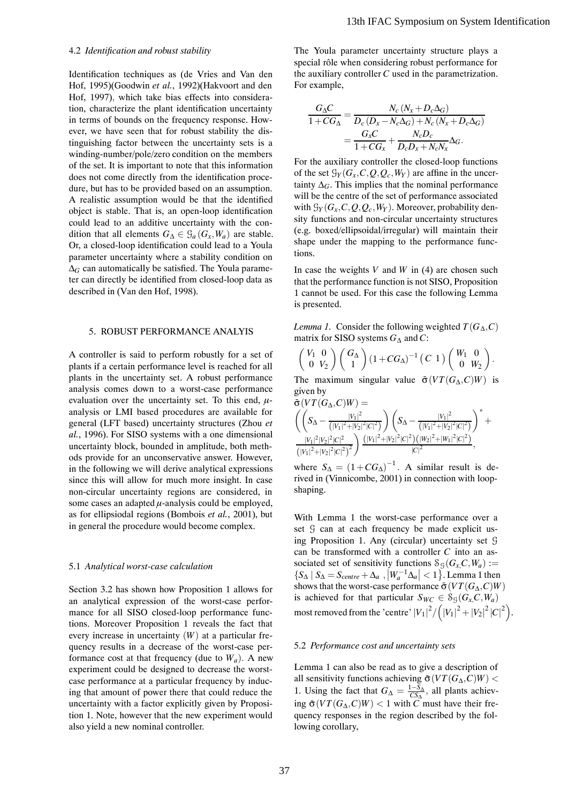#### 4.2 *Identification and robust stability*

Identification techniques as (de Vries and Van den Hof, 1995)(Goodwin *et al.*, 1992)(Hakvoort and den Hof, 1997)*,* which take bias effects into consideration, characterize the plant identification uncertainty in terms of bounds on the frequency response. However, we have seen that for robust stability the distinguishing factor between the uncertainty sets is a winding-number/pole/zero condition on the members of the set. It is important to note that this information does not come directly from the identification procedure, but has to be provided based on an assumption. A realistic assumption would be that the identified object is stable. That is, an open-loop identification could lead to an additive uncertainty with the condition that all elements  $G_{\Delta} \in \mathcal{G}_a(G_x, W_a)$  are stable. Or, a closed-loop identification could lead to a Youla parameter uncertainty where a stability condition on ∆*<sup>G</sup>* can automatically be satisfied. The Youla parameter can directly be identified from closed-loop data as described in (Van den Hof, 1998).

## 5. ROBUST PERFORMANCE ANALYIS

A controller is said to perform robustly for a set of plants if a certain performance level is reached for all plants in the uncertainty set. A robust performance analysis comes down to a worst-case performance evaluation over the uncertainty set. To this end, *µ*analysis or LMI based procedures are available for general (LFT based) uncertainty structures (Zhou *et al.*, 1996). For SISO systems with a one dimensional uncertainty block, bounded in amplitude, both methods provide for an unconservative answer. However, in the following we will derive analytical expressions since this will allow for much more insight. In case non-circular uncertainty regions are considered, in some cases an adapted  $\mu$ -analysis could be employed, as for ellipsiodal regions (Bombois *et al.*, 2001), but in general the procedure would become complex.

#### 5.1 *Analytical worst-case calculation*

Section 3.2 has shown how Proposition 1 allows for an analytical expression of the worst-case performance for all SISO closed-loop performance functions. Moreover Proposition 1 reveals the fact that every increase in uncertainty (*W*) at a particular frequency results in a decrease of the worst-case performance cost at that frequency (due to  $W_a$ ). A new experiment could be designed to decrease the worstcase performance at a particular frequency by inducing that amount of power there that could reduce the uncertainty with a factor explicitly given by Proposition 1. Note, however that the new experiment would also yield a new nominal controller.

The Youla parameter uncertainty structure plays a special rôle when considering robust performance for the auxiliary controller *C* used in the parametrization. For example,

$$
\frac{G_{\Delta}C}{1+CG_{\Delta}} = \frac{N_c (N_x + D_c \Delta_G)}{D_c (D_x - N_c \Delta_G) + N_c (N_x + D_c \Delta_G)}
$$

$$
= \frac{G_x C}{1+CG_x} + \frac{N_c D_c}{D_c D_x + N_c N_x} \Delta_G.
$$

For the auxiliary controller the closed-loop functions of the set  $\mathcal{G}_Y(G_x, C, Q, Q_c, W_Y)$  are affine in the uncertainty  $\Delta_G$ . This implies that the nominal performance will be the centre of the set of performance associated with  $\mathcal{G}_Y(G_x, C, Q, Q_c, W_Y)$ . Moreover, probability density functions and non-circular uncertainty structures (e.g. boxed/ellipsoidal/irregular) will maintain their shape under the mapping to the performance functions.

In case the weights  $V$  and  $W$  in (4) are chosen such that the performance function is not SISO, Proposition 1 cannot be used. For this case the following Lemma is presented.

*Lemma 1.* Consider the following weighted  $T(G_A, C)$ matrix for SISO systems *G*<sup>∆</sup> and *C*:

$$
\left(\begin{array}{cc} V_1 & 0 \\ 0 & V_2 \end{array}\right) \left(\begin{array}{c} G_\Delta \\ 1 \end{array}\right) (1 + CG_\Delta)^{-1} \left(\begin{array}{cc} C & 1 \end{array}\right) \left(\begin{array}{cc} W_1 & 0 \\ 0 & W_2 \end{array}\right).
$$

The maximum singular value  $\bar{\sigma}(VT(G_{\Lambda}, C)W)$  is given by  $(T/T)(G - G)W$ 

$$
\sigma(VT(G_{\Delta}, C)W) = \left(\left(S_{\Delta} - \frac{|V_1|^2}{(|V_1|^2 + |V_2|^2|C|^2)}\right) \left(S_{\Delta} - \frac{|V_1|^2}{(|V_1|^2 + |V_2|^2|C|^2)}\right)^* + \frac{|V_1|^2|V_2|^2|C|^2}{(|V_1|^2 + |V_2|^2|C|^2)^2}\right) \frac{(|V_1|^2 + |V_2|^2|C|^2)(|W_2|^2 + |W_1|^2|C|^2)}{|C|^2},
$$

where  $S_{\Delta} = (1 + CG_{\Delta})^{-1}$ . A similar result is derived in (Vinnicombe, 2001) in connection with loopshaping.

With Lemma 1 the worst-case performance over a set  $G$  can at each frequency be made explicit using Proposition 1. Any (circular) uncertainty set G can be transformed with a controller *C* into an associated set of sensitivity functions  $S_G(G_x, C, W_a)$  :=  $\{S_\Delta \mid S_\Delta = S_{centre} + \Delta_a, |W_a^{-1}\Delta_a| < 1\}$ . Lemma 1 then shows that the worst-case performance  $\bar{\sigma}(VT(G_{\Lambda}, C)W)$ is achieved for that particular  $S_{WC} \in S_G(G_x, C, W_a)$ most removed from the 'centre'  $|V_1|^2 / (|V_1|^2 + |V_2|^2 |C|^2)$ . 13th IFAC Symposium on System Identification<br>
The Youla parameter unceraring written plays a<br>
special relev energy considering to better effects and the considering to<br>
the unceraring expression of the consideration of th

## 5.2 *Performance cost and uncertainty sets*

Lemma 1 can also be read as to give a description of all sensitivity functions achieving  $\bar{\sigma}(VT(G_{\Delta}, C)W)$  < 1. Using the fact that  $G_{\Delta} = \frac{1 - S_{\Delta}}{CS_{\Delta}}$ , all plants achiev- $\log \bar{\sigma}(VT(G_{\Delta}, C)W) < 1$  with *C* must have their frequency responses in the region described by the following corollary,